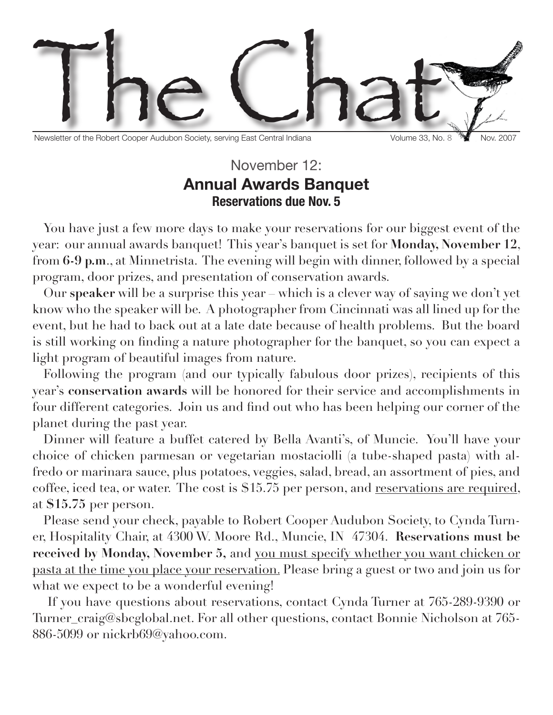

Newsletter of the Robert Cooper Audubon Society, serving East Central Indiana Volume 33, No. 8 Nov. 2007

## November 12: **Annual Awards Banquet Reservations due Nov. 5**

You have just a few more days to make your reservations for our biggest event of the year: our annual awards banquet! This year's banquet is set for **Monday, November 12**, from **6-9 p.m**., at Minnetrista. The evening will begin with dinner, followed by a special program, door prizes, and presentation of conservation awards.

Our **speaker** will be a surprise this year – which is a clever way of saying we don't yet know who the speaker will be. A photographer from Cincinnati was all lined up for the event, but he had to back out at a late date because of health problems. But the board is still working on finding a nature photographer for the banquet, so you can expect a light program of beautiful images from nature.

Following the program (and our typically fabulous door prizes), recipients of this year's **conservation awards** will be honored for their service and accomplishments in four different categories. Join us and find out who has been helping our corner of the planet during the past year.

Dinner will feature a buffet catered by Bella Avanti's, of Muncie. You'll have your choice of chicken parmesan or vegetarian mostaciolli (a tube-shaped pasta) with alfredo or marinara sauce, plus potatoes, veggies, salad, bread, an assortment of pies, and coffee, iced tea, or water. The cost is \$15.75 per person, and reservations are required, at **\$15.75** per person.

Please send your check, payable to Robert Cooper Audubon Society, to Cynda Turner, Hospitality Chair, at 4300 W. Moore Rd., Muncie, IN 47304. **Reservations must be received by Monday, November 5,** and you must specify whether you want chicken or pasta at the time you place your reservation. Please bring a guest or two and join us for what we expect to be a wonderful evening!

 If you have questions about reservations, contact Cynda Turner at 765-289-9390 or Turner\_craig@sbcglobal.net. For all other questions, contact Bonnie Nicholson at 765- 886-5099 or nickrb69@yahoo.com.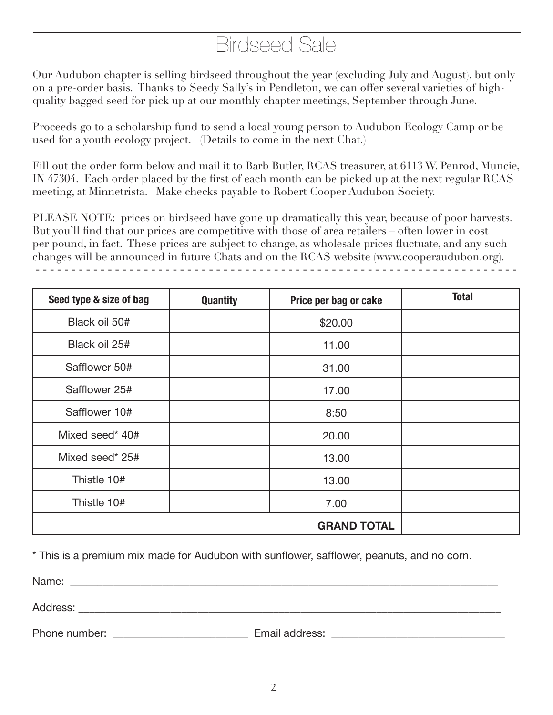## Birdseed Sale

Our Audubon chapter is selling birdseed throughout the year (excluding July and August), but only on a pre-order basis. Thanks to Seedy Sally's in Pendleton, we can offer several varieties of highquality bagged seed for pick up at our monthly chapter meetings, September through June.

Proceeds go to a scholarship fund to send a local young person to Audubon Ecology Camp or be used for a youth ecology project. (Details to come in the next Chat.)

Fill out the order form below and mail it to Barb Butler, RCAS treasurer, at 6113 W. Penrod, Muncie, IN 47304. Each order placed by the first of each month can be picked up at the next regular RCAS meeting, at Minnetrista. Make checks payable to Robert Cooper Audubon Society.

PLEASE NOTE: prices on birdseed have gone up dramatically this year, because of poor harvests. But you'll find that our prices are competitive with those of area retailers – often lower in cost per pound, in fact. These prices are subject to change, as wholesale prices fluctuate, and any such changes will be announced in future Chats and on the RCAS website (www.cooperaudubon.org). - - - - - - - - - - - - - - - - - - - - - - - - - - - - - - - - - - - - - - - - - - - - - - - - - - - - - - - - - - - - - - - - - - -

| Seed type & size of bag | <b>Quantity</b> | Price per bag or cake | <b>Total</b> |
|-------------------------|-----------------|-----------------------|--------------|
| Black oil 50#           |                 | \$20.00               |              |
| Black oil 25#           |                 | 11.00                 |              |
| Safflower 50#           |                 | 31.00                 |              |
| Safflower 25#           |                 | 17.00                 |              |
| Safflower 10#           |                 | 8:50                  |              |
| Mixed seed* 40#         |                 | 20.00                 |              |
| Mixed seed* 25#         |                 | 13.00                 |              |
| Thistle 10#             |                 | 13.00                 |              |
| Thistle 10#             |                 | 7.00                  |              |
|                         |                 | <b>GRAND TOTAL</b>    |              |

\* This is a premium mix made for Audubon with sunflower, safflower, peanuts, and no corn.

Name:

Address:

Phone number: example and the set of the Email address:  $\blacksquare$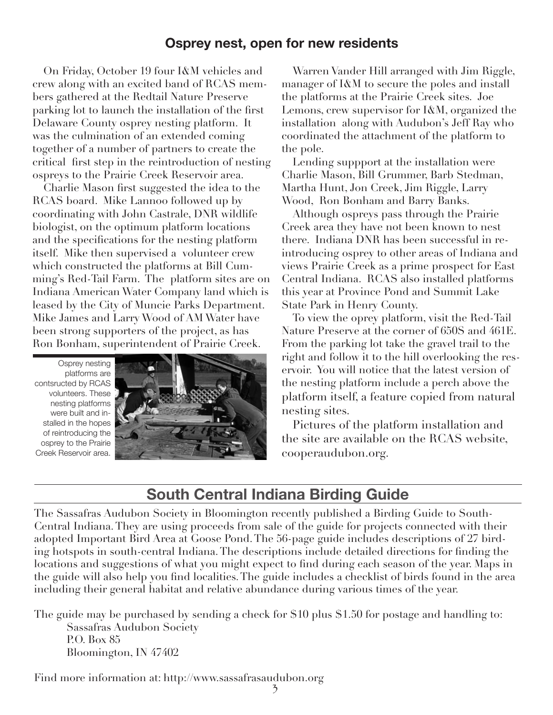## **Osprey nest, open for new residents**

On Friday, October 19 four I&M vehicles and crew along with an excited band of RCAS members gathered at the Redtail Nature Preserve parking lot to launch the installation of the first Delaware County osprey nesting platform. It was the culmination of an extended coming together of a number of partners to create the critical first step in the reintroduction of nesting ospreys to the Prairie Creek Reservoir area.

Charlie Mason first suggested the idea to the RCAS board. Mike Lannoo followed up by coordinating with John Castrale, DNR wildlife biologist, on the optimum platform locations and the specifications for the nesting platform itself. Mike then supervised a volunteer crew which constructed the platforms at Bill Cumming's Red-Tail Farm. The platform sites are on Indiana American Water Company land which is leased by the City of Muncie Parks Department. Mike James and Larry Wood of AM Water have been strong supporters of the project, as has Ron Bonham, superintendent of Prairie Creek.

Osprey nesting platforms are contsructed by RCAS volunteers. These nesting platforms were built and installed in the hopes of reintroducing the osprey to the Prairie Creek Reservoir area.



Warren Vander Hill arranged with Jim Riggle, manager of I&M to secure the poles and install the platforms at the Prairie Creek sites. Joe Lemons, crew supervisor for I&M, organized the installation along with Audubon's Jeff Ray who coordinated the attachment of the platform to the pole.

Lending suppport at the installation were Charlie Mason, Bill Grummer, Barb Stedman, Martha Hunt, Jon Creek, Jim Riggle, Larry Wood, Ron Bonham and Barry Banks.

Although ospreys pass through the Prairie Creek area they have not been known to nest there. Indiana DNR has been successful in reintroducing osprey to other areas of Indiana and views Prairie Creek as a prime prospect for East Central Indiana. RCAS also installed platforms this year at Province Pond and Summit Lake State Park in Henry County.

To view the oprey platform, visit the Red-Tail Nature Preserve at the corner of 650S and 461E. From the parking lot take the gravel trail to the right and follow it to the hill overlooking the reservoir. You will notice that the latest version of the nesting platform include a perch above the platform itself, a feature copied from natural nesting sites.

Pictures of the platform installation and the site are available on the RCAS website, cooperaudubon.org.

## **South Central Indiana Birding Guide**

The Sassafras Audubon Society in Bloomington recently published a Birding Guide to South-Central Indiana. They are using proceeds from sale of the guide for projects connected with their adopted Important Bird Area at Goose Pond. The 56-page guide includes descriptions of 27 birding hotspots in south-central Indiana. The descriptions include detailed directions for finding the locations and suggestions of what you might expect to find during each season of the year. Maps in the guide will also help you find localities. The guide includes a checklist of birds found in the area including their general habitat and relative abundance during various times of the year.

The guide may be purchased by sending a check for \$10 plus \$1.50 for postage and handling to: Sassafras Audubon Society P.O. Box 85 Bloomington, IN 47402

Find more information at: http://www.sassafrasaudubon.org